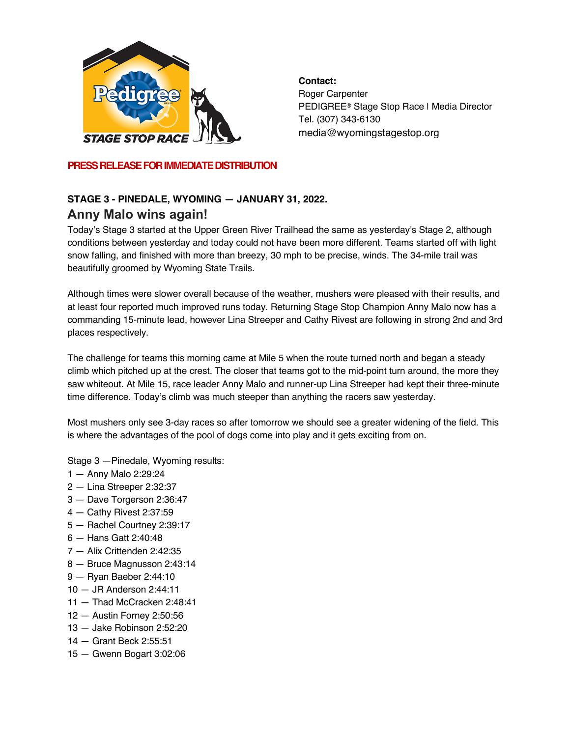

**Contact:** Roger Carpenter PEDIGREE® Stage Stop Race | Media Director Tel. (307) 343-6130 media@wyomingstagestop.org

**PRESS RELEASE FOR IMMEDIATE DISTRIBUTION**

# **STAGE 3 - PINEDALE, WYOMING — JANUARY 31, 2022.** release:**Anny Malo wins again!**

Today's Stage 3 started at the Upper Green River Trailhead the same as yesterday's Stage 2, although conditions between yesterday and today could not have been more different. Teams started off with light snow falling, and finished with more than breezy, 30 mph to be precise, winds. The 34-mile trail was beautifully groomed by Wyoming State Trails.

Although times were slower overall because of the weather, mushers were pleased with their results, and at least four reported much improved runs today. Returning Stage Stop Champion Anny Malo now has a commanding 15-minute lead, however Lina Streeper and Cathy Rivest are following in strong 2nd and 3rd places respectively.

The challenge for teams this morning came at Mile 5 when the route turned north and began a steady climb which pitched up at the crest. The closer that teams got to the mid-point turn around, the more they saw whiteout. At Mile 15, race leader Anny Malo and runner-up Lina Streeper had kept their three-minute time difference. Today's climb was much steeper than anything the racers saw yesterday.

Most mushers only see 3-day races so after tomorrow we should see a greater widening of the field. This is where the advantages of the pool of dogs come into play and it gets exciting from on.

Stage 3 —Pinedale, Wyoming results:

- 1 Anny Malo 2:29:24
- 2 Lina Streeper 2:32:37
- 3 Dave Torgerson 2:36:47
- 4 Cathy Rivest 2:37:59
- 5 Rachel Courtney 2:39:17
- 6 Hans Gatt 2:40:48
- 7 Alix Crittenden 2:42:35
- 8 Bruce Magnusson 2:43:14
- 9 Ryan Baeber 2:44:10
- 10 JR Anderson 2:44:11
- 11 Thad McCracken 2:48:41
- 12 Austin Forney 2:50:56
- 13 Jake Robinson 2:52:20
- 14 Grant Beck 2:55:51
- 15 Gwenn Bogart 3:02:06